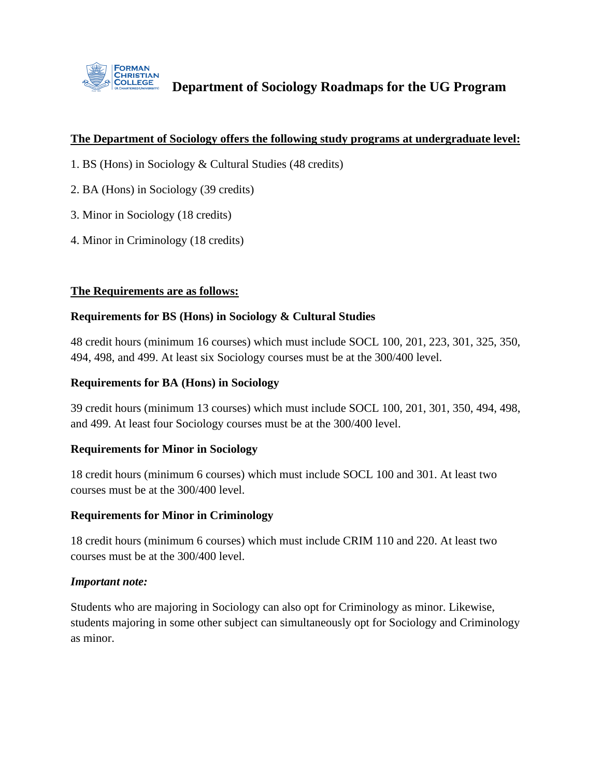

**Department of Sociology Roadmaps for the UG Program**

#### **The Department of Sociology offers the following study programs at undergraduate level:**

- 1. BS (Hons) in Sociology & Cultural Studies (48 credits)
- 2. BA (Hons) in Sociology (39 credits)
- 3. Minor in Sociology (18 credits)
- 4. Minor in Criminology (18 credits)

### **The Requirements are as follows:**

### **Requirements for BS (Hons) in Sociology & Cultural Studies**

48 credit hours (minimum 16 courses) which must include SOCL 100, 201, 223, 301, 325, 350, 494, 498, and 499. At least six Sociology courses must be at the 300/400 level.

#### **Requirements for BA (Hons) in Sociology**

39 credit hours (minimum 13 courses) which must include SOCL 100, 201, 301, 350, 494, 498, and 499. At least four Sociology courses must be at the 300/400 level.

### **Requirements for Minor in Sociology**

18 credit hours (minimum 6 courses) which must include SOCL 100 and 301. At least two courses must be at the 300/400 level.

### **Requirements for Minor in Criminology**

18 credit hours (minimum 6 courses) which must include CRIM 110 and 220. At least two courses must be at the 300/400 level.

#### *Important note:*

Students who are majoring in Sociology can also opt for Criminology as minor. Likewise, students majoring in some other subject can simultaneously opt for Sociology and Criminology as minor.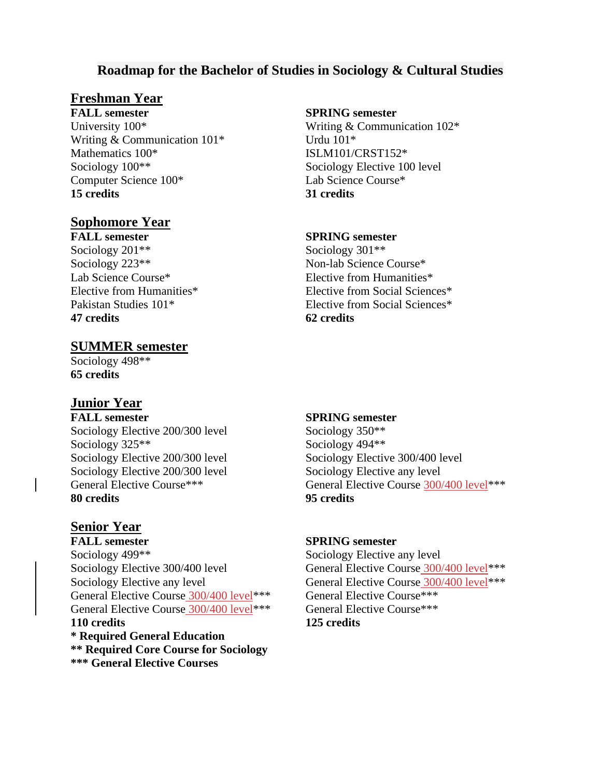## **Roadmap for the Bachelor of Studies in Sociology & Cultural Studies**

## **Freshman Year**

**FALL semester SPRING semester** University 100\* Writing & Communication 102\* Writing & Communication  $101^*$  Urdu  $101^*$ Mathematics 100\* ISLM101/CRST152\*<br>Sociology 100\*\* Sociology Elective 10 Computer Science 100\* Lab Science Course\* **15 credits 31 credits**

## **Sophomore Year**

Sociology 201<sup>\*\*</sup> Sociology 301<sup>\*\*</sup> Sociology 223<sup>\*\*</sup> Non-lab Science Course<sup>\*</sup> **47 credits 62 credits**

### **SUMMER semester**

Sociology 498\*\* **65 credits**

## **Junior Year**

**FALL semester SPRING semester** Sociology Elective 200/300 level Sociology 350<sup>\*\*</sup> Sociology 325<sup>\*\*</sup> Sociology 494<sup>\*\*</sup> Sociology Elective 200/300 level Sociology Elective 300/400 level Sociology Elective 200/300 level Sociology Elective any level **80 credits 95 credits**

### **Senior Year**

**FALL semester SPRING semester** Sociology 499<sup>\*\*</sup> Sociology Elective any level Sociology Elective 300/400 level General Elective Course 300/400 level<sup>\*\*\*</sup> Sociology Elective any level General Elective Course  $300/400$  level<sup>\*\*\*</sup> General Elective Course 300/400 level\*\*\* General Elective Course\*\*\* General Elective Course 300/400 level\*\*\* General Elective Course\*\*\* **110 credits 125 credits \* Required General Education \*\* Required Core Course for Sociology \*\*\* General Elective Courses**

Sociology Elective 100 level

#### **FALL semester SPRING semester**

Lab Science Course\* Elective from Humanities\* Elective from Humanities\* Elective from Social Sciences\* Pakistan Studies 101<sup>\*</sup> Flective from Social Sciences<sup>\*</sup>

General Elective Course\*\*\* General Elective Course 300/400 level\*\*\*